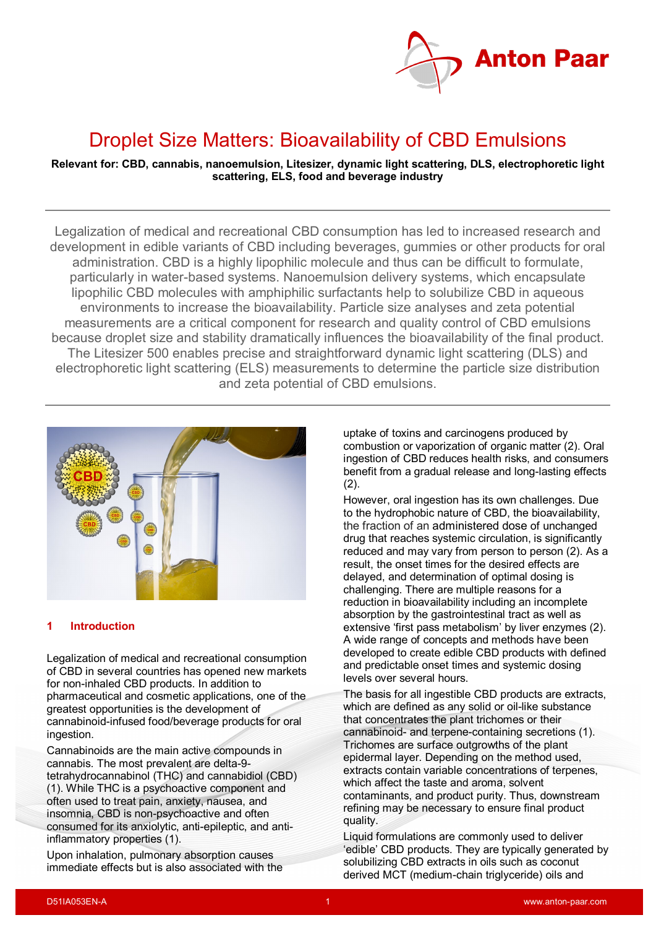

# Droplet Size Matters: Bioavailability of CBD Emulsions

**Relevant for: CBD, cannabis, nanoemulsion, Litesizer, dynamic light scattering, DLS, electrophoretic light scattering, ELS, food and beverage industry**

Legalization of medical and recreational CBD consumption has led to increased research and development in edible variants of CBD including beverages, gummies or other products for oral administration. CBD is a highly lipophilic molecule and thus can be difficult to formulate, particularly in water-based systems. Nanoemulsion delivery systems, which encapsulate lipophilic CBD molecules with amphiphilic surfactants help to solubilize CBD in aqueous environments to increase the bioavailability. Particle size analyses and zeta potential measurements are a critical component for research and quality control of CBD emulsions because droplet size and stability dramatically influences the bioavailability of the final product. The Litesizer 500 enables precise and straightforward dynamic light scattering (DLS) and electrophoretic light scattering (ELS) measurements to determine the particle size distribution and zeta potential of CBD emulsions.



#### **1 Introduction**

Legalization of medical and recreational consumption of CBD in several countries has opened new markets for non-inhaled CBD products. In addition to pharmaceutical and cosmetic applications, one of the greatest opportunities is the development of cannabinoid-infused food/beverage products for oral ingestion.

Cannabinoids are the main active compounds in cannabis. The most prevalent are delta-9 tetrahydrocannabinol (THC) and cannabidiol (CBD) (1). While THC is a psychoactive component and often used to treat pain, anxiety, nausea, and insomnia, CBD is non-psychoactive and often consumed for its anxiolytic, anti-epileptic, and antiinflammatory properties (1).

Upon inhalation, pulmonary absorption causes immediate effects but is also associated with the uptake of toxins and carcinogens produced by combustion or vaporization of organic matter (2). Oral ingestion of CBD reduces health risks, and consumers benefit from a gradual release and long-lasting effects  $(2)$ .

However, oral ingestion has its own challenges. Due to the hydrophobic nature of CBD, the bioavailability, the fraction of an administered dose of unchanged drug that reaches systemic circulation, is significantly reduced and may vary from person to person (2). As a result, the onset times for the desired effects are delayed, and determination of optimal dosing is challenging. There are multiple reasons for a reduction in bioavailability including an incomplete absorption by the gastrointestinal tract as well as extensive 'first pass metabolism' by liver enzymes (2). A wide range of concepts and methods have been developed to create edible CBD products with defined and predictable onset times and systemic dosing levels over several hours.

The basis for all ingestible CBD products are extracts, which are defined as any solid or oil-like substance that concentrates the plant trichomes or their cannabinoid- and terpene-containing secretions (1). Trichomes are surface outgrowths of the plant epidermal layer. Depending on the method used, extracts contain variable concentrations of terpenes, which affect the taste and aroma, solvent contaminants, and product purity. Thus, downstream refining may be necessary to ensure final product quality.

Liquid formulations are commonly used to deliver 'edible' CBD products. They are typically generated by solubilizing CBD extracts in oils such as coconut derived MCT (medium-chain triglyceride) oils and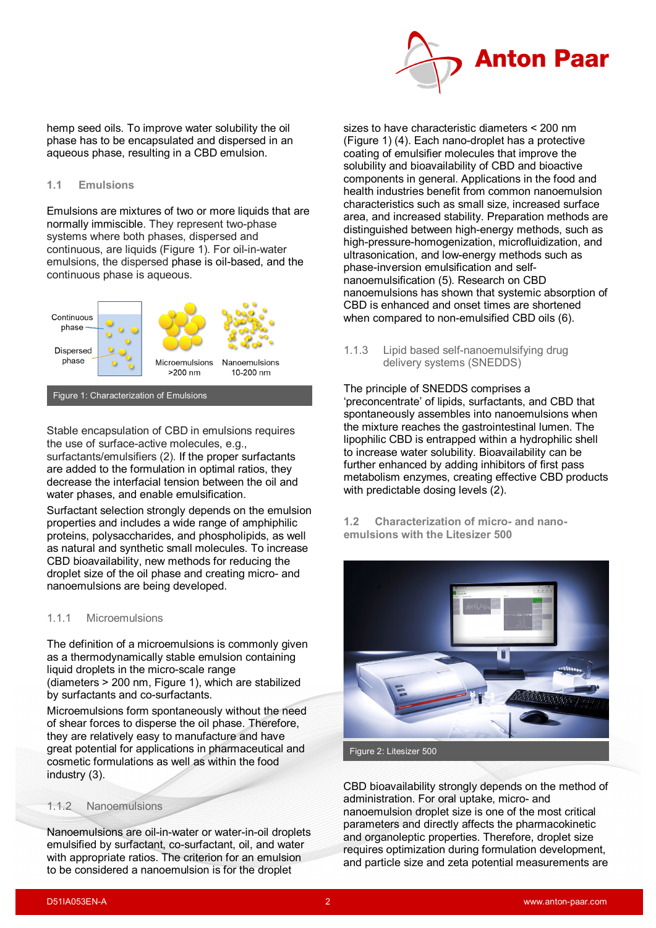

hemp seed oils. To improve water solubility the oil phase has to be encapsulated and dispersed in an aqueous phase, resulting in a CBD emulsion.

#### **1.1 Emulsions**

Emulsions are mixtures of two or more [liquids](https://en.wikipedia.org/wiki/Liquid) that are normally [immiscible.](https://en.wikipedia.org/wiki/Immiscible) They represent two-phase systems where both phases, dispersed and continuous, are liquids (Figure 1). For oil-in-water emulsions, the dispersed [phase](https://en.wikipedia.org/wiki/Phase_(matter)) is oil-based, and the continuous phase is aqueous.



Figure 1: Characterization of Emulsions

Stable encapsulation of CBD in emulsions requires the use of surface-active molecules, e.g., surfactants/emulsifiers (2). If the proper surfactants are added to the formulation in optimal ratios, they decrease the interfacial tension between the oil and water phases, and enable emulsification.

Surfactant selection strongly depends on the emulsion properties and includes a wide range of amphiphilic proteins, polysaccharides, and phospholipids, as well as natural and synthetic small molecules. To increase CBD bioavailability, new methods for reducing the droplet size of the oil phase and creating micro- and nanoemulsions are being developed.

#### 1.1.1 Microemulsions

The definition of a microemulsions is commonly given as a thermodynamically stable emulsion containing liquid droplets in the micro-scale range (diameters > 200 nm, Figure 1), which are stabilized by surfactants and co-surfactants.

Microemulsions form spontaneously without the need of shear forces to disperse the oil phase. Therefore, they are relatively easy to manufacture and have great potential for applications in pharmaceutical and cosmetic formulations as well as within the food industry (3).

#### 1.1.2 Nanoemulsions

Nanoemulsions are oil-in-water or water-in-oil droplets emulsified by surfactant, co-surfactant, oil, and water with appropriate ratios. The criterion for an emulsion to be considered a nanoemulsion is for the droplet

sizes to have characteristic diameters < 200 nm (Figure 1) (4). Each nano-droplet has a protective coating of emulsifier molecules that improve the solubility and bioavailability of CBD and bioactive components in general. Applications in the food and health industries benefit from common nanoemulsion characteristics such as small size, increased surface area, and increased stability. Preparation methods are distinguished between high-energy methods, such as high-pressure-homogenization, microfluidization, and ultrasonication, and low-energy methods such as phase-inversion emulsification and selfnanoemulsification (5). Research on CBD nanoemulsions has shown that systemic absorption of CBD is enhanced and onset times are shortened when compared to non-emulsified CBD oils (6).

1.1.3 Lipid based self-nanoemulsifying drug delivery systems (SNEDDS)

The principle of SNEDDS comprises a 'preconcentrate' of lipids, surfactants, and CBD that spontaneously assembles into nanoemulsions when the mixture reaches the gastrointestinal lumen. The lipophilic CBD is entrapped within a hydrophilic shell to increase water solubility. Bioavailability can be further enhanced by adding inhibitors of first pass metabolism enzymes, creating effective CBD products with predictable dosing levels (2).

**1.2 Characterization of micro- and nanoemulsions with the Litesizer 500**



CBD bioavailability strongly depends on the method of administration. For oral uptake, micro- and nanoemulsion droplet size is one of the most critical parameters and directly affects the pharmacokinetic and organoleptic properties. Therefore, droplet size requires optimization during formulation development, and particle size and zeta potential measurements are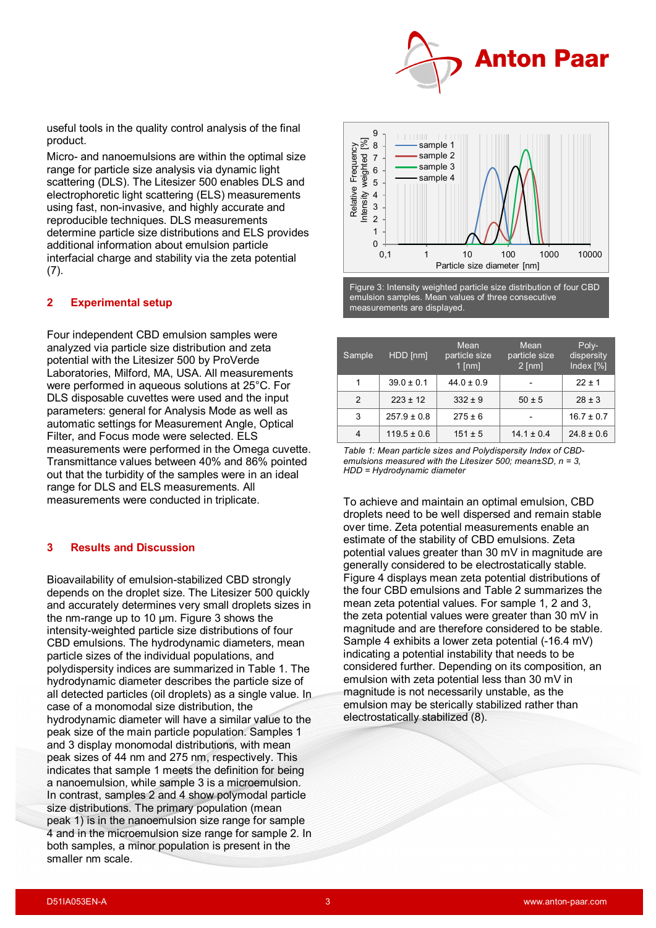

useful tools in the quality control analysis of the final product.

Micro- and nanoemulsions are within the optimal size range for particle size analysis via dynamic light scattering (DLS). The Litesizer 500 enables DLS and electrophoretic light scattering (ELS) measurements using fast, non-invasive, and highly accurate and reproducible techniques. DLS measurements determine particle size distributions and ELS provides additional information about emulsion particle interfacial charge and stability via the zeta potential  $(7).$ 

### **2 Experimental setup**

Four independent CBD emulsion samples were analyzed via particle size distribution and zeta potential with the Litesizer 500 by ProVerde Laboratories, Milford, MA, USA. All measurements were performed in aqueous solutions at 25°C. For DLS disposable cuvettes were used and the input parameters: general for Analysis Mode as well as automatic settings for Measurement Angle, Optical Filter, and Focus mode were selected. ELS measurements were performed in the Omega cuvette. Transmittance values between 40% and 86% pointed out that the turbidity of the samples were in an ideal range for DLS and ELS measurements. All measurements were conducted in triplicate.

#### **3 Results and Discussion**

Bioavailability of emulsion-stabilized CBD strongly depends on the droplet size. The Litesizer 500 quickly and accurately determines very small droplets sizes in the nm-range up to 10 µm. Figure 3 shows the intensity-weighted particle size distributions of four CBD emulsions. The hydrodynamic diameters, mean particle sizes of the individual populations, and polydispersity indices are summarized in Table 1. The hydrodynamic diameter describes the particle size of all detected particles (oil droplets) as a single value. In case of a monomodal size distribution, the hydrodynamic diameter will have a similar value to the peak size of the main particle population. Samples 1 and 3 display monomodal distributions, with mean peak sizes of 44 nm and 275 nm, respectively. This indicates that sample 1 meets the definition for being a nanoemulsion, while sample 3 is a microemulsion. In contrast, samples 2 and 4 show polymodal particle size distributions. The primary population (mean peak 1) is in the nanoemulsion size range for sample 4 and in the microemulsion size range for sample 2. In both samples, a minor population is present in the smaller nm scale.



Figure 3: Intensity weighted particle size distribution of four CBD emulsion samples. Mean values of three consecutive measurements are displayed.

| Sample | HDD [nm]        | <b>Mean</b><br>particle size<br>$1$ [nm] | Mean<br>particle size<br>$2$ [nm] | Poly-<br>dispersity<br>Index [%] |
|--------|-----------------|------------------------------------------|-----------------------------------|----------------------------------|
| 1      | $39.0 \pm 0.1$  | $44.0 \pm 0.9$                           |                                   | $22 \pm 1$                       |
| 2      | $223 \pm 12$    | $332 \pm 9$                              | $50 \pm 5$                        | $28 \pm 3$                       |
| 3      | $257.9 \pm 0.8$ | $275 \pm 6$                              |                                   | $16.7 \pm 0.7$                   |
| 4      | $119.5 \pm 0.6$ | $151 \pm 5$                              | $14.1 \pm 0.4$                    | $24.8 \pm 0.6$                   |

*Table 1: Mean particle sizes and Polydispersity Index of CBDemulsions measured with the Litesizer 500; mean±SD, n = 3, HDD = Hydrodynamic diameter*

To achieve and maintain an optimal emulsion, CBD droplets need to be well dispersed and remain stable over time. Zeta potential measurements enable an estimate of the stability of CBD emulsions. Zeta potential values greater than 30 mV in magnitude are generally considered to be electrostatically stable. Figure 4 displays mean zeta potential distributions of the four CBD emulsions and Table 2 summarizes the mean zeta potential values. For sample 1, 2 and 3, the zeta potential values were greater than 30 mV in magnitude and are therefore considered to be stable. Sample 4 exhibits a lower zeta potential (-16.4 mV) indicating a potential instability that needs to be considered further. Depending on its composition, an emulsion with zeta potential less than 30 mV in magnitude is not necessarily unstable, as the emulsion may be sterically stabilized rather than electrostatically stabilized (8).